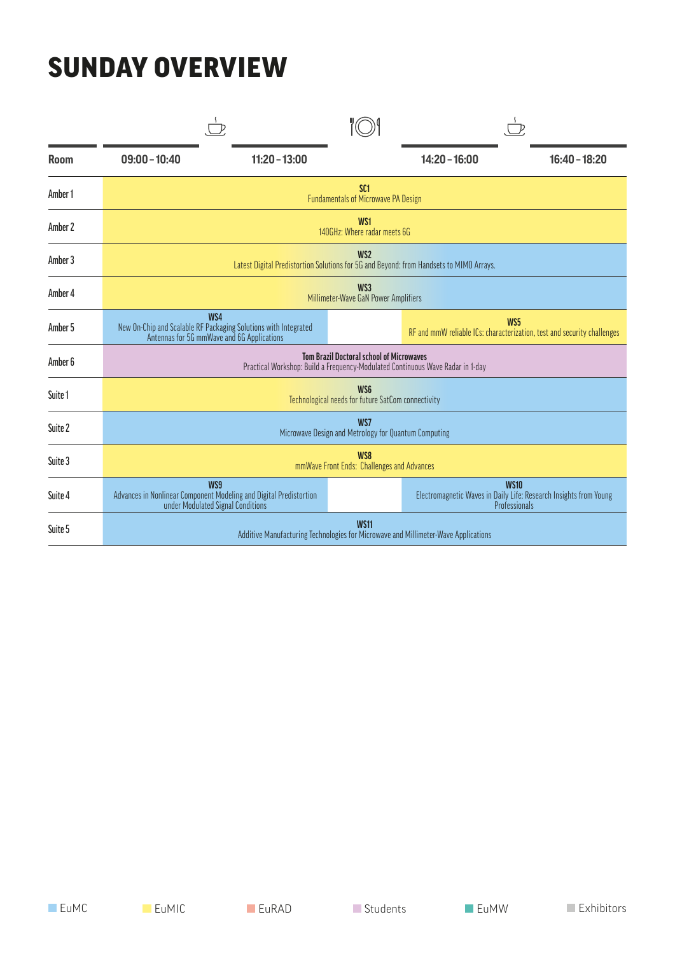# SUNDAY OVERVIEW

| <b>Room</b> | $09:00 - 10:40$                                                                                                                   | $11:20 - 13:00$                                                                                                      |                                                               | $14:20 - 16:00$                                                                            | $16:40 - 18:20$                                                                                   |  |  |
|-------------|-----------------------------------------------------------------------------------------------------------------------------------|----------------------------------------------------------------------------------------------------------------------|---------------------------------------------------------------|--------------------------------------------------------------------------------------------|---------------------------------------------------------------------------------------------------|--|--|
| Amber 1     |                                                                                                                                   |                                                                                                                      | SC <sub>1</sub><br><b>Fundamentals of Microwave PA Design</b> |                                                                                            |                                                                                                   |  |  |
| Amber 2     | WS1<br>140GHz: Where radar meets 6G                                                                                               |                                                                                                                      |                                                               |                                                                                            |                                                                                                   |  |  |
| Amber 3     | WS <sub>2</sub><br>Latest Digital Predistortion Solutions for 5G and Beyond: from Handsets to MIMO Arrays.                        |                                                                                                                      |                                                               |                                                                                            |                                                                                                   |  |  |
| Amber 4     | WS3<br>Millimeter-Wave GaN Power Amplifiers                                                                                       |                                                                                                                      |                                                               |                                                                                            |                                                                                                   |  |  |
| Amber 5     |                                                                                                                                   | WS4<br>New On-Chip and Scalable RF Packaging Solutions with Integrated<br>Antennas for 5G mmWave and 6G Applications |                                                               | WS <sub>5</sub><br>RF and mmW reliable ICs: characterization, test and security challenges |                                                                                                   |  |  |
| Amber 6     | <b>Tom Brazil Doctoral school of Microwaves</b><br>Practical Workshop: Build a Frequency-Modulated Continuous Wave Radar in 1-day |                                                                                                                      |                                                               |                                                                                            |                                                                                                   |  |  |
| Suite 1     | WS <sub>6</sub><br>Technological needs for future SatCom connectivity                                                             |                                                                                                                      |                                                               |                                                                                            |                                                                                                   |  |  |
| Suite 2     | WS7<br>Microwave Design and Metrology for Quantum Computing                                                                       |                                                                                                                      |                                                               |                                                                                            |                                                                                                   |  |  |
| Suite 3     | WS8<br>mmWave Front Ends: Challenges and Advances                                                                                 |                                                                                                                      |                                                               |                                                                                            |                                                                                                   |  |  |
| Suite 4     |                                                                                                                                   | WS9<br>Advances in Nonlinear Component Modeling and Digital Predistortion<br>under Modulated Signal Conditions       |                                                               |                                                                                            | <b>WS10</b><br>Electromagnetic Waves in Daily Life: Research Insights from Young<br>Professionals |  |  |
| Suite 5     |                                                                                                                                   |                                                                                                                      | <b>WS11</b>                                                   | Additive Manufacturing Technologies for Microwave and Millimeter-Wave Applications         |                                                                                                   |  |  |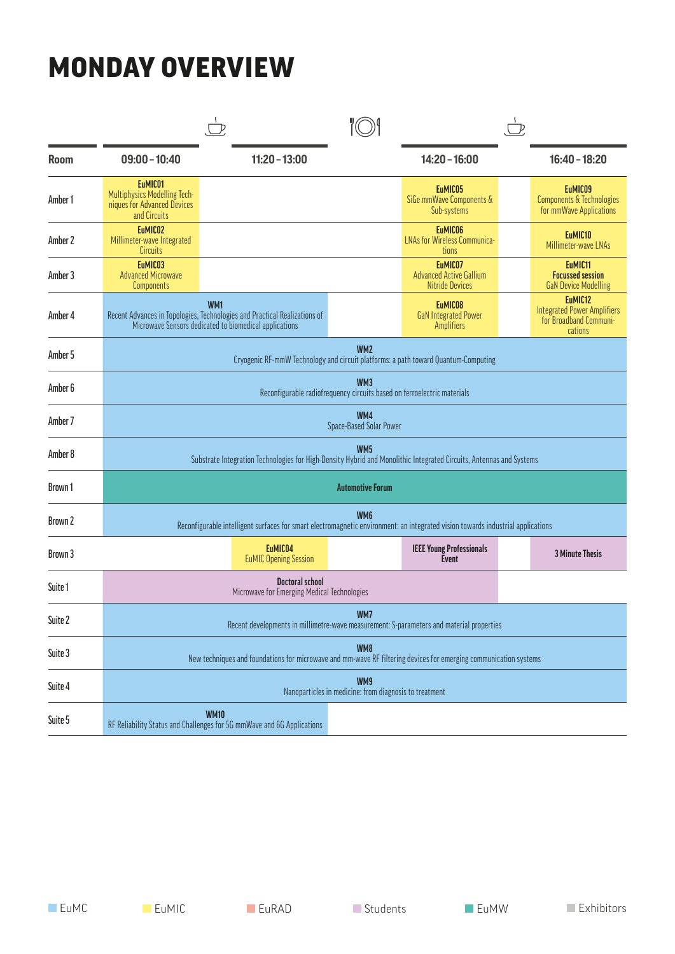# MONDAY OVERVIEW

| <b>Room</b> | $09:00 - 10:40$                                                                                                         | $11:20 - 13:00$                                                                                                                                        |                         | $14:20 - 16:00$                                                                    |  | $16:40 - 18:20$                                                                    |  |  |  |
|-------------|-------------------------------------------------------------------------------------------------------------------------|--------------------------------------------------------------------------------------------------------------------------------------------------------|-------------------------|------------------------------------------------------------------------------------|--|------------------------------------------------------------------------------------|--|--|--|
| Amber 1     | EuMIC01<br><b>Multiphysics Modelling Tech-</b><br>niques for Advanced Devices<br>and Circuits                           |                                                                                                                                                        |                         | EuMIC05<br>SiGe mmWave Components &<br>Sub-systems                                 |  | EuMIC09<br>Components & Technologies<br>for mmWave Applications                    |  |  |  |
| Amber 2     | EuMIC02<br>Millimeter-wave Integrated<br><b>Circuits</b>                                                                |                                                                                                                                                        |                         | EuMIC06<br><b>LNAs for Wireless Communica-</b><br>tions                            |  | EuMIC10<br>Millimeter-wave LNAs                                                    |  |  |  |
| Amber 3     | EuMIC03<br><b>Advanced Microwave</b><br>Components                                                                      |                                                                                                                                                        |                         | EuMIC07<br><b>Advanced Active Gallium</b><br><b>Nitride Devices</b>                |  | EuMIC11<br><b>Focussed session</b><br><b>GaN Device Modelling</b>                  |  |  |  |
| Amber 4     |                                                                                                                         | WM <sub>1</sub><br>Recent Advances in Topologies, Technologies and Practical Realizations of<br>Microwave Sensors dedicated to biomedical applications |                         | EuMIC08<br><b>GaN</b> Integrated Power<br>Amplifiers                               |  | EuMIC12<br><b>Integrated Power Amplifiers</b><br>for Broadband Communi-<br>cations |  |  |  |
| Amber 5     |                                                                                                                         |                                                                                                                                                        | WM <sub>2</sub>         | Cryogenic RF-mmW Technology and circuit platforms: a path toward Quantum-Computing |  |                                                                                    |  |  |  |
| Amber 6     |                                                                                                                         | WM3<br>Reconfigurable radiofrequency circuits based on ferroelectric materials                                                                         |                         |                                                                                    |  |                                                                                    |  |  |  |
| Amber 7     |                                                                                                                         | WM4<br>Space-Based Solar Power                                                                                                                         |                         |                                                                                    |  |                                                                                    |  |  |  |
| Amber 8     |                                                                                                                         | WM <sub>5</sub><br>Substrate Integration Technologies for High-Density Hybrid and Monolithic Integrated Circuits, Antennas and Systems                 |                         |                                                                                    |  |                                                                                    |  |  |  |
| Brown 1     |                                                                                                                         |                                                                                                                                                        | <b>Automotive Forum</b> |                                                                                    |  |                                                                                    |  |  |  |
| Brown 2     |                                                                                                                         | Reconfigurable intelligent surfaces for smart electromagnetic environment: an integrated vision towards industrial applications                        | WM <sub>6</sub>         |                                                                                    |  |                                                                                    |  |  |  |
| Brown 3     |                                                                                                                         | EuMIC04<br><b>EuMIC Opening Session</b>                                                                                                                |                         | <b>IEEE Young Professionals</b><br><b>Event</b>                                    |  | <b>3 Minute Thesis</b>                                                             |  |  |  |
| Suite 1     | <b>Doctoral school</b><br>Microwave for Emerging Medical Technologies                                                   |                                                                                                                                                        |                         |                                                                                    |  |                                                                                    |  |  |  |
| Suite 2     | WM7<br>Recent developments in millimetre-wave measurement: S-parameters and material properties                         |                                                                                                                                                        |                         |                                                                                    |  |                                                                                    |  |  |  |
| Suite 3     | WM8<br>New techniques and foundations for microwave and mm-wave RF filtering devices for emerging communication systems |                                                                                                                                                        |                         |                                                                                    |  |                                                                                    |  |  |  |
| Suite 4     |                                                                                                                         | WM9<br>Nanoparticles in medicine: from diagnosis to treatment                                                                                          |                         |                                                                                    |  |                                                                                    |  |  |  |
| Suite 5     |                                                                                                                         | <b>WM10</b><br>RF Reliability Status and Challenges for 5G mmWave and 6G Applications                                                                  |                         |                                                                                    |  |                                                                                    |  |  |  |

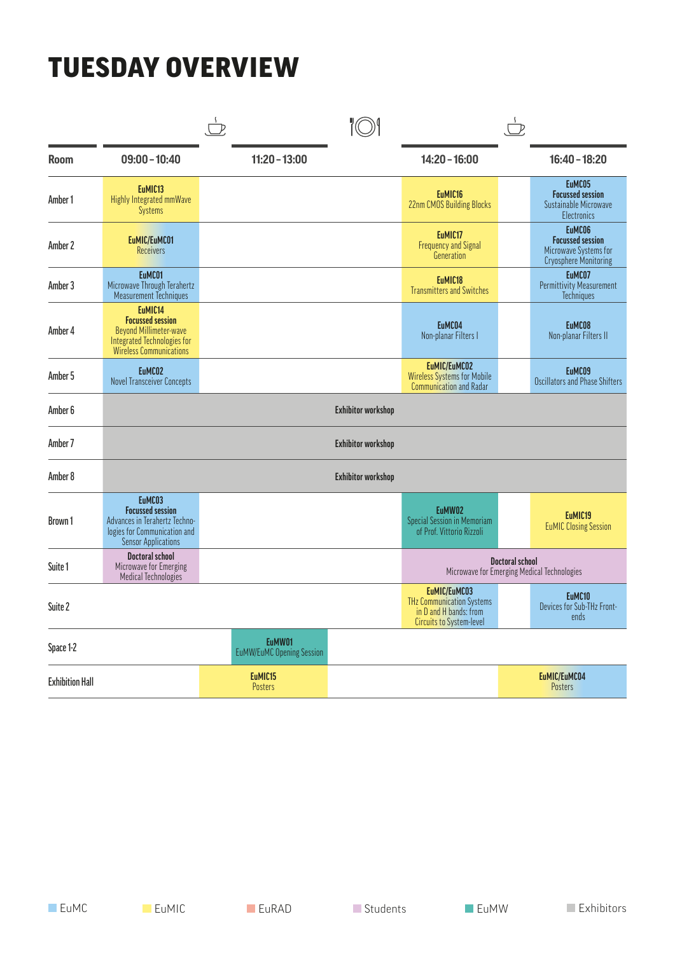## TUESDAY OVERVIEW

| <b>Room</b>            | $09:00 - 10:40$                                                                                                                      | $11:20 - 13:00$                            |                           | $14:20 - 16:00$                                                                                               |  | $16:40 - 18:20$                                                                            |  |
|------------------------|--------------------------------------------------------------------------------------------------------------------------------------|--------------------------------------------|---------------------------|---------------------------------------------------------------------------------------------------------------|--|--------------------------------------------------------------------------------------------|--|
| Amber 1                | EuMIC <sub>13</sub><br>Highly Integrated mmWave<br>Systems                                                                           |                                            |                           | EuMIC16<br>22nm CMOS Building Blocks                                                                          |  | EuMC05<br><b>Focussed session</b><br>Sustainable Microwave<br><b>Electronics</b>           |  |
| Amber 2                | EuMIC/EuMC01<br><b>Receivers</b>                                                                                                     |                                            |                           | EuMIC17<br><b>Frequency and Signal</b><br>Generation                                                          |  | EuMC06<br><b>Focussed session</b><br>Microwave Systems for<br><b>Cryosphere Monitoring</b> |  |
| Amber 3                | EuMC01<br>Microwave Through Terahertz<br>Measurement Techniques                                                                      |                                            |                           | EuMIC18<br><b>Transmitters and Switches</b>                                                                   |  | EuMC07<br><b>Permittivity Measurement</b><br><b>Techniques</b>                             |  |
| Amber 4                | EuMIC14<br><b>Focussed session</b><br><b>Beyond Millimeter-wave</b><br>Integrated Technologies for<br><b>Wireless Communications</b> |                                            |                           | EuMC04<br>Non-planar Filters I                                                                                |  | EuMC08<br>Non-planar Filters II                                                            |  |
| Amber 5                | EuMC02<br><b>Novel Transceiver Concepts</b>                                                                                          |                                            |                           | EuMIC/EuMC02<br><b>Wireless Systems for Mobile</b><br><b>Communication and Radar</b>                          |  | EuMC09<br><b>Oscillators and Phase Shifters</b>                                            |  |
| Amber 6                | <b>Exhibitor workshop</b>                                                                                                            |                                            |                           |                                                                                                               |  |                                                                                            |  |
| Amber 7                |                                                                                                                                      |                                            | <b>Exhibitor workshop</b> |                                                                                                               |  |                                                                                            |  |
| Amber 8                |                                                                                                                                      |                                            | <b>Exhibitor workshop</b> |                                                                                                               |  |                                                                                            |  |
| Brown 1                | EuMC03<br><b>Focussed session</b><br>Advances in Terahertz Techno-<br>logies for Communication and<br><b>Sensor Applications</b>     |                                            |                           | EuMW02<br>Special Session in Memoriam<br>of Prof. Vittorio Rizzoli                                            |  | EuMIC <sub>19</sub><br><b>EuMIC Closing Session</b>                                        |  |
| Suite 1                | <b>Doctoral school</b><br>Microwave for Emerging<br>Medical Technologies                                                             |                                            |                           | <b>Doctoral school</b><br>Microwave for Emerging Medical Technologies                                         |  |                                                                                            |  |
| Suite 2                |                                                                                                                                      |                                            |                           | EuMIC/EuMC03<br><b>THz Communication Systems</b><br>in D and H bands: from<br><b>Circuits to System-level</b> |  | EuMC10<br>Devices for Sub-THz Front-<br>ends                                               |  |
| Space 1-2              |                                                                                                                                      | EuMW01<br><b>EuMW/EuMC Opening Session</b> |                           |                                                                                                               |  |                                                                                            |  |
| <b>Exhibition Hall</b> |                                                                                                                                      | EuMIC <sub>15</sub><br>Posters             |                           |                                                                                                               |  | EuMIC/EuMC04<br><b>Posters</b>                                                             |  |

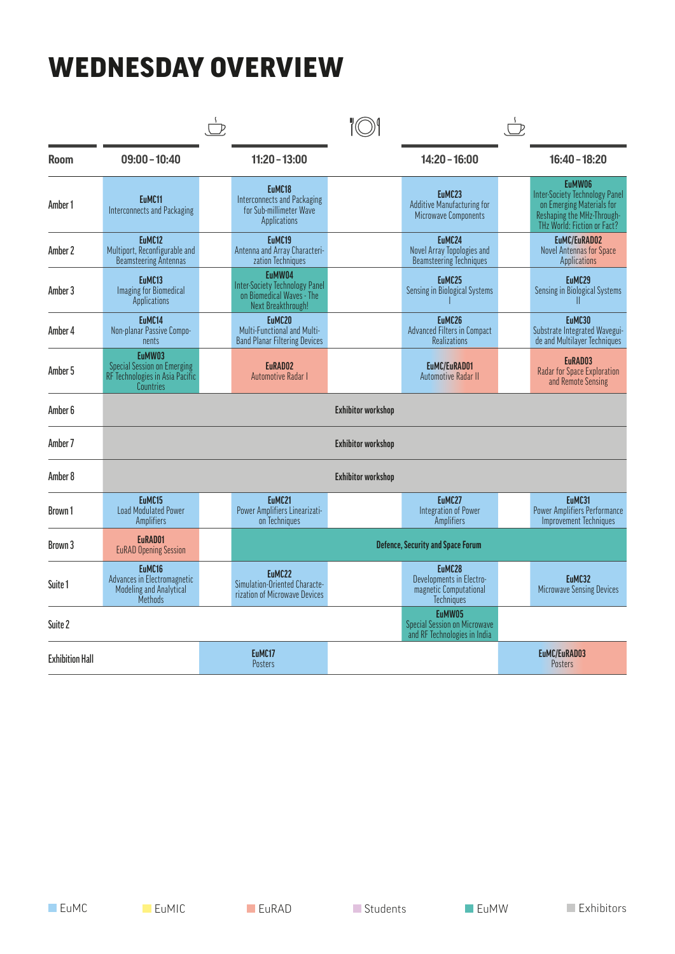# WEDNESDAY OVERVIEW

| <b>Room</b>            | $09:00 - 10:40$                                                                              |  | $11:20 - 13:00$                                                                                    |                           | $14:20 - 16:00$                                                                   |  | $16:40 - 18:20$                                                                                                                           |
|------------------------|----------------------------------------------------------------------------------------------|--|----------------------------------------------------------------------------------------------------|---------------------------|-----------------------------------------------------------------------------------|--|-------------------------------------------------------------------------------------------------------------------------------------------|
| Amber 1                | EuMC11<br>Interconnects and Packaging                                                        |  | EuMC18<br>Interconnects and Packaging<br>for Sub-millimeter Wave<br><b>Applications</b>            |                           | EuMC23<br><b>Additive Manufacturing for</b><br>Microwave Components               |  | EuMW06<br><b>Inter-Society Technology Panel</b><br>on Emerging Materials for<br>Reshaping the MHz-Through-<br>THz World: Fiction or Fact? |
| Amber 2                | EuMC12<br>Multiport, Reconfigurable and<br><b>Beamsteering Antennas</b>                      |  | EuMC19<br>Antenna and Array Characteri-<br>zation Techniques                                       |                           | EuMC24<br>Novel Array Topologies and<br><b>Beamsteering Techniques</b>            |  | EuMC/EuRAD02<br><b>Novel Antennas for Space</b><br><b>Applications</b>                                                                    |
| Amber 3                | EuMC13<br><b>Imaging for Biomedical</b><br>Applications                                      |  | EuMW04<br><b>Inter-Society Technology Panel</b><br>on Biomedical Waves - The<br>Next Breakthrough! |                           | EuMC25<br>Sensing in Biological Systems                                           |  | EuMC29<br>Sensing in Biological Systems                                                                                                   |
| Amber 4                | EuMC14<br>Non-planar Passive Compo-<br>nents                                                 |  | EuMC20<br>Multi-Functional and Multi-<br><b>Band Planar Filtering Devices</b>                      |                           | EuMC26<br>Advanced Filters in Compact<br><b>Realizations</b>                      |  | EuMC30<br>Substrate Integrated Wavegui-<br>de and Multilayer Techniques                                                                   |
| Amber 5                | EuMW03<br><b>Special Session on Emerging</b><br>RF Technologies in Asia Pacific<br>Countries |  | EuRAD02<br><b>Automotive Radar I</b>                                                               |                           | EuMC/EuRAD01<br>Automotive Radar II                                               |  | EuRAD03<br>Radar for Space Exploration<br>and Remote Sensing                                                                              |
| Amber 6                | <b>Exhibitor workshop</b>                                                                    |  |                                                                                                    |                           |                                                                                   |  |                                                                                                                                           |
| Amber 7                |                                                                                              |  |                                                                                                    | <b>Exhibitor workshop</b> |                                                                                   |  |                                                                                                                                           |
| Amber 8                |                                                                                              |  |                                                                                                    | <b>Exhibitor workshop</b> |                                                                                   |  |                                                                                                                                           |
| Brown 1                | EuMC15<br><b>Load Modulated Power</b><br><b>Amplifiers</b>                                   |  | EuMC21<br>Power Amplifiers Linearizati-<br>on Techniques                                           |                           | EuMC27<br><b>Integration of Power</b><br><b>Amplifiers</b>                        |  | EuMC31<br><b>Power Amplifiers Performance</b><br><b>Improvement Techniques</b>                                                            |
| Brown 3                | EuRAD01<br><b>EuRAD Opening Session</b>                                                      |  |                                                                                                    |                           | <b>Defence, Security and Space Forum</b>                                          |  |                                                                                                                                           |
| Suite 1                | EuMC16<br>Advances in Electromagnetic<br>Modeling and Analytical<br><b>Methods</b>           |  | EuMC22<br>Simulation-Oriented Characte-<br>rization of Microwave Devices                           |                           | EuMC28<br>Developments in Electro-<br>magnetic Computational<br><b>Techniques</b> |  | EuMC32<br><b>Microwave Sensing Devices</b>                                                                                                |
| Suite 2                |                                                                                              |  |                                                                                                    |                           | EuMW05<br>Special Session on Microwave<br>and RF Technologies in India            |  |                                                                                                                                           |
| <b>Exhibition Hall</b> |                                                                                              |  | EuMC17<br>Posters                                                                                  |                           |                                                                                   |  | EuMC/EuRAD03<br><b>Posters</b>                                                                                                            |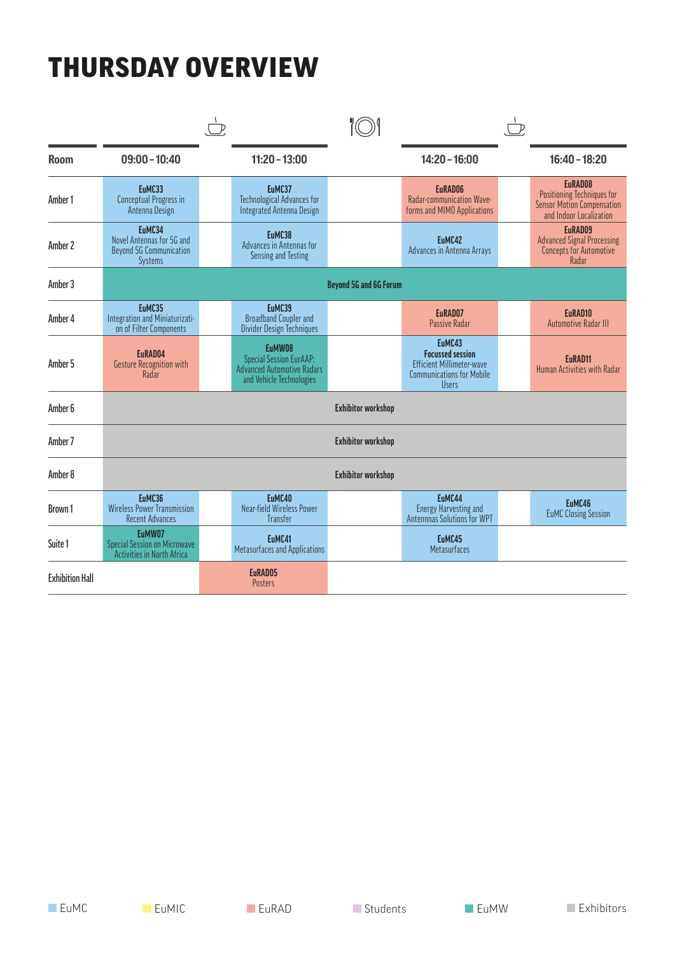# THURSDAY OVERVIEW

| Room                   | $09:00 - 10:40$                                                                    | $11:20 - 13:00$                                                                                           |                           | $14:20 - 16:00$                                                                                                           | $16:40 - 18:20$                                                                                       |
|------------------------|------------------------------------------------------------------------------------|-----------------------------------------------------------------------------------------------------------|---------------------------|---------------------------------------------------------------------------------------------------------------------------|-------------------------------------------------------------------------------------------------------|
| Amber 1                | EuMC33<br><b>Conceptual Progress in</b><br>Antenna Design                          | EuMC37<br><b>Technological Advances for</b><br>Integrated Antenna Design                                  |                           | EuRAD06<br>Radar-communication Wave-<br>forms and MIMO Applications                                                       | EuRAD08<br>Positioning Techniques for<br><b>Sensor Motion Compensation</b><br>and Indoor Localization |
| Amber 2                | EuMC34<br>Novel Antennas for 5G and<br><b>Beyond 5G Communication</b><br>Systems   | EuMC38<br>Advances in Antennas for<br>Sensing and Testing                                                 |                           | EuMC42<br>Advances in Antenna Arrays                                                                                      | EuRAD09<br><b>Advanced Signal Processing</b><br><b>Concepts for Automotive</b><br>Radar               |
| Amber 3                |                                                                                    |                                                                                                           | Beyond 5G and 6G Forum    |                                                                                                                           |                                                                                                       |
| Amber 4                | EuMC35<br>Integration and Miniaturizati-<br>on of Filter Components                | EuMC39<br><b>Broadband Coupler and</b><br>Divider Design Techniques                                       |                           | EuRAD07<br><b>Passive Radar</b>                                                                                           | EuRAD <sub>10</sub><br><b>Automotive Radar III</b>                                                    |
| Amber 5                | EuRAD04<br><b>Gesture Recognition with</b><br>Radar                                | EuMW08<br><b>Special Session EurAAP:</b><br><b>Advanced Automotive Radars</b><br>and Vehicle Technologies |                           | EuMC43<br><b>Focussed session</b><br><b>Efficient Millimeter-wave</b><br><b>Communications for Mobile</b><br><b>Users</b> | EuRAD <sub>11</sub><br>Human Activities with Radar                                                    |
| Amber <sub>6</sub>     |                                                                                    |                                                                                                           | <b>Exhibitor workshop</b> |                                                                                                                           |                                                                                                       |
| Amber 7                |                                                                                    |                                                                                                           | <b>Exhibitor workshop</b> |                                                                                                                           |                                                                                                       |
| Amber 8                |                                                                                    |                                                                                                           | <b>Exhibitor workshop</b> |                                                                                                                           |                                                                                                       |
| Brown 1                | EuMC36<br><b>Wireless Power Transmission</b><br><b>Recent Advances</b>             | EuMC40<br><b>Near-field Wireless Power</b><br>Transfer                                                    |                           | EuMC44<br><b>Energy Harvesting and</b><br>Antennnas Solutions for WPT                                                     | EuMC46<br><b>EuMC Closing Session</b>                                                                 |
| Suite 1                | EuMW07<br><b>Special Session on Microwave</b><br><b>Activities in North Africa</b> | EuMC41<br>Metasurfaces and Applications                                                                   |                           | EuMC45<br><b>Metasurfaces</b>                                                                                             |                                                                                                       |
| <b>Exhibition Hall</b> |                                                                                    | EuRAD05<br>Posters                                                                                        |                           |                                                                                                                           |                                                                                                       |